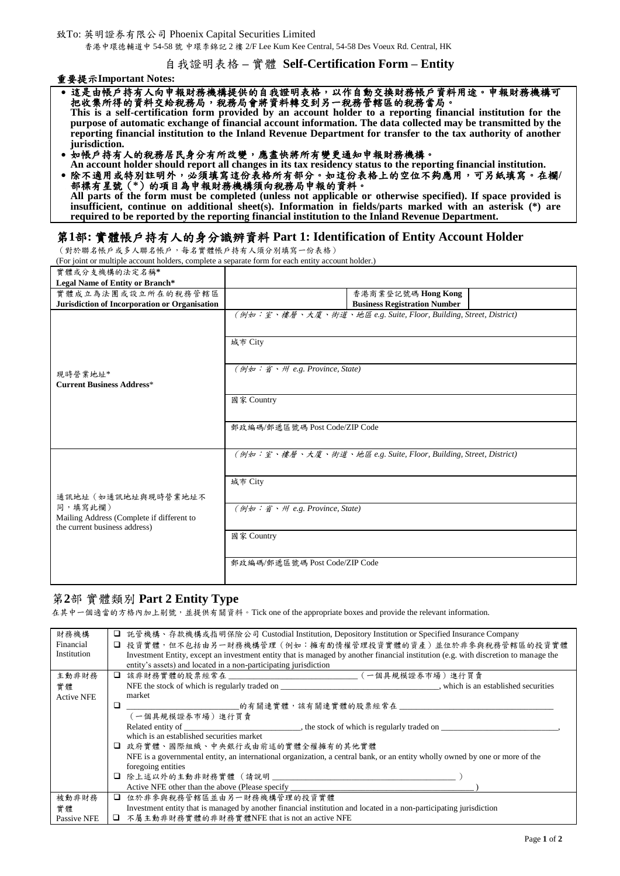致To: 英明證券有限公司 Phoenix Capital Securities Limited 香港中環德輔道中 54-58 號 中環李錦記 2 樓 2/F Lee Kum Kee Central, 54-58 Des Voeux Rd. Central, HK

### 自我證明表格 **–** 實體 **Self-Certification Form – Entity**

重要提示**Important Notes:** 

- 這是由帳戶持有人向申報財務機構提供的自我證明表格,以作自動交換財務帳戶資料用途。申報財務機構可 把收集所得的資料交給稅務局,稅務局會將資料轉交到另一稅務管轄區的稅務當局。 **This is a self-certification form provided by an account holder to a reporting financial institution for the**  purpose of automatic exchange of financial account information. The data collected may be transmitted by the **reporting financial institution to the Inland Revenue Department for transfer to the tax authority of another jurisdiction.**
- 如帳戶持有人的稅務居民身分有所改變,應盡快將所有變更通知申報財務機構。

**An account holder should report all changes in its tax residency status to the reporting financial institution.** 除不適用或特別註明外,必須填寫這份表格所有部分。如這份表格上的空位不夠應用,可另紙填寫。在欄**/** 部標有星號(**\***)的項目為申報財務機構須向稅務局申報的資料。 **All parts of the form must be completed (unless not applicable or otherwise specified). If space provided is insufficient, continue on additional sheet(s). Information in fields/parts marked with an asterisk (\*) are required to be reported by the reporting financial institution to the Inland Revenue Department.** 

# 第**1**部**:** 實體帳戶持有人的身分識辨資料 **Part 1: Identification of Entity Account Holder**

(對於聯名帳戶或多人聯名帳戶,每名實體帳戶持有人須分別填寫一份表格)

(For joint or multiple account holders, complete a separate form for each entity account holder.)

| 實體或分支機構的法定名稱*                                                                                               |                                                                             |
|-------------------------------------------------------------------------------------------------------------|-----------------------------------------------------------------------------|
| Legal Name of Entity or Branch*                                                                             |                                                                             |
| 實體成立為法團或設立所在的稅務管轄區                                                                                          | 香港商業登記號碼 Hong Kong                                                          |
| Jurisdiction of Incorporation or Organisation                                                               | <b>Business Registration Number</b>                                         |
|                                                                                                             | (例如:室、樓層、大廈、街道、地區 e.g. Suite, Floor, Building, Street, District)<br>城市 City |
| 現時營業地址*<br><b>Current Business Address*</b>                                                                 | (例如:省、州 e.g. Province, State)                                               |
|                                                                                                             | 國家 Country                                                                  |
|                                                                                                             | 郵政編碼/郵遞區號碼 Post Code/ZIP Code                                               |
|                                                                                                             | (例如:室、樓層、大廈、街道、地區 e.g. Suite, Floor, Building, Street, District)            |
| 通訊地址(如通訊地址與現時營業地址不<br>同,填寫此欄)<br>Mailing Address (Complete if different to<br>the current business address) | 城市 City                                                                     |
|                                                                                                             | (例如:省、州 e.g. Province, State)                                               |
|                                                                                                             | 國家 Country                                                                  |
|                                                                                                             | 郵政編碼/郵遞區號碼 Post Code/ZIP Code                                               |

### 第**2**部 實體類別 **Part 2 Entity Type**

在其中一個適當的方格內加上剔號,並提供有關資料。Tick one of the appropriate boxes and provide the relevant information.

| 財務機構              | 託管機構、存款機構或指明保險公司 Custodial Institution, Depository Institution or Specified Insurance Company                                       |  |  |
|-------------------|-------------------------------------------------------------------------------------------------------------------------------------|--|--|
| Financial         | 投資實體,但不包括由另一財務機構管理(例如:擁有酌情權管理投資實體的資產)並位於非參與稅務管轄區的投資實體                                                                               |  |  |
| Institution       | Investment Entity, except an investment entity that is managed by another financial institution (e.g. with discretion to manage the |  |  |
|                   | entity's assets) and located in a non-participating jurisdiction                                                                    |  |  |
| 主動非財務             | 該非財務實體的股票經常在 _______________________________(一個具規模證券市場)進行買賣<br>□                                                                    |  |  |
| 實體                | NFE the stock of which is regularly traded on subsequently reached to the stablished securities                                     |  |  |
| <b>Active NFE</b> | market                                                                                                                              |  |  |
|                   | ◻                                                                                                                                   |  |  |
|                   | (一個具規模證券市場)進行買賣                                                                                                                     |  |  |
|                   |                                                                                                                                     |  |  |
|                   | which is an established securities market                                                                                           |  |  |
|                   | □ 政府實體、國際組織、中央銀行或由前述的實體全權擁有的其他實體                                                                                                    |  |  |
|                   | NFE is a governmental entity, an international organization, a central bank, or an entity wholly owned by one or more of the        |  |  |
|                   | foregoing entities                                                                                                                  |  |  |
|                   | □                                                                                                                                   |  |  |
|                   | Active NFE other than the above (Please specify _________________________________                                                   |  |  |
| 被動非財務             | 位於非參與稅務管轄區並由另一財務機構管理的投資實體<br>□                                                                                                      |  |  |
| 實體                | Investment entity that is managed by another financial institution and located in a non-participating jurisdiction                  |  |  |
| Passive NFE       | □ 不屬主動非財務實體的非財務實體NFE that is not an active NFE                                                                                      |  |  |